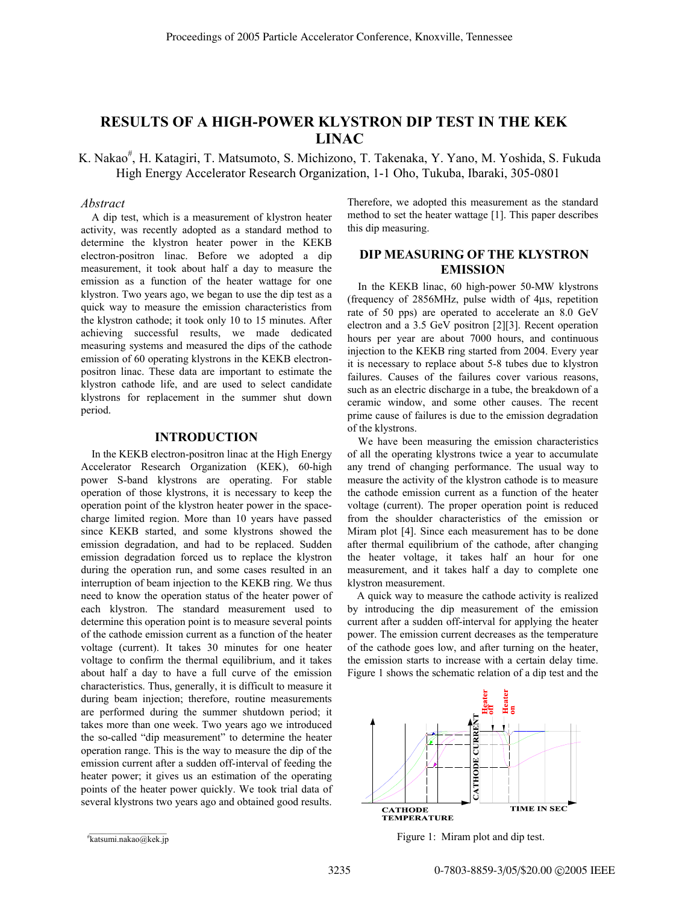# **RESULTS OF A HIGH-POWER KLYSTRON DIP TEST IN THE KEK LINAC**

K. Nakao<sup>#</sup>, H. Katagiri, T. Matsumoto, S. Michizono, T. Takenaka, Y. Yano, M. Yoshida, S. Fukuda High Energy Accelerator Research Organization, 1-1 Oho, Tukuba, Ibaraki, 305-0801

## *Abstract*

A dip test, which is a measurement of klystron heater activity, was recently adopted as a standard method to determine the klystron heater power in the KEKB electron-positron linac. Before we adopted a dip measurement, it took about half a day to measure the emission as a function of the heater wattage for one klystron. Two years ago, we began to use the dip test as a quick way to measure the emission characteristics from the klystron cathode; it took only 10 to 15 minutes. After achieving successful results, we made dedicated measuring systems and measured the dips of the cathode emission of 60 operating klystrons in the KEKB electronpositron linac. These data are important to estimate the klystron cathode life, and are used to select candidate klystrons for replacement in the summer shut down period.

#### **INTRODUCTION**

In the KEKB electron-positron linac at the High Energy Accelerator Research Organization (KEK), 60-high power S-band klystrons are operating. For stable operation of those klystrons, it is necessary to keep the operation point of the klystron heater power in the spacecharge limited region. More than 10 years have passed since KEKB started, and some klystrons showed the emission degradation, and had to be replaced. Sudden emission degradation forced us to replace the klystron during the operation run, and some cases resulted in an interruption of beam injection to the KEKB ring. We thus need to know the operation status of the heater power of each klystron. The standard measurement used to determine this operation point is to measure several points of the cathode emission current as a function of the heater voltage (current). It takes 30 minutes for one heater voltage to confirm the thermal equilibrium, and it takes about half a day to have a full curve of the emission characteristics. Thus, generally, it is difficult to measure it during beam injection; therefore, routine measurements are performed during the summer shutdown period; it takes more than one week. Two years ago we introduced the so-called "dip measurement" to determine the heater operation range. This is the way to measure the dip of the emission current after a sudden off-interval of feeding the heater power; it gives us an estimation of the operating points of the heater power quickly. We took trial data of several klystrons two years ago and obtained good results.

Therefore, we adopted this measurement as the standard method to set the heater wattage [1]. This paper describes this dip measuring.

# **DIP MEASURING OF THE KLYSTRON EMISSION**

In the KEKB linac, 60 high-power 50-MW klystrons (frequency of 2856MHz, pulse width of 4µs, repetition rate of 50 pps) are operated to accelerate an 8.0 GeV electron and a 3.5 GeV positron [2][3]. Recent operation hours per year are about 7000 hours, and continuous injection to the KEKB ring started from 2004. Every year it is necessary to replace about 5-8 tubes due to klystron failures. Causes of the failures cover various reasons, such as an electric discharge in a tube, the breakdown of a ceramic window, and some other causes. The recent prime cause of failures is due to the emission degradation of the klystrons.

We have been measuring the emission characteristics of all the operating klystrons twice a year to accumulate any trend of changing performance. The usual way to measure the activity of the klystron cathode is to measure the cathode emission current as a function of the heater voltage (current). The proper operation point is reduced from the shoulder characteristics of the emission or Miram plot [4]. Since each measurement has to be done after thermal equilibrium of the cathode, after changing the heater voltage, it takes half an hour for one measurement, and it takes half a day to complete one klystron measurement.

A quick way to measure the cathode activity is realized by introducing the dip measurement of the emission current after a sudden off-interval for applying the heater power. The emission current decreases as the temperature of the cathode goes low, and after turning on the heater, the emission starts to increase with a certain delay time. Figure 1 shows the schematic relation of a dip test and the



Figure 1: Miram plot and dip test.

katsumi.nakao@kek.jp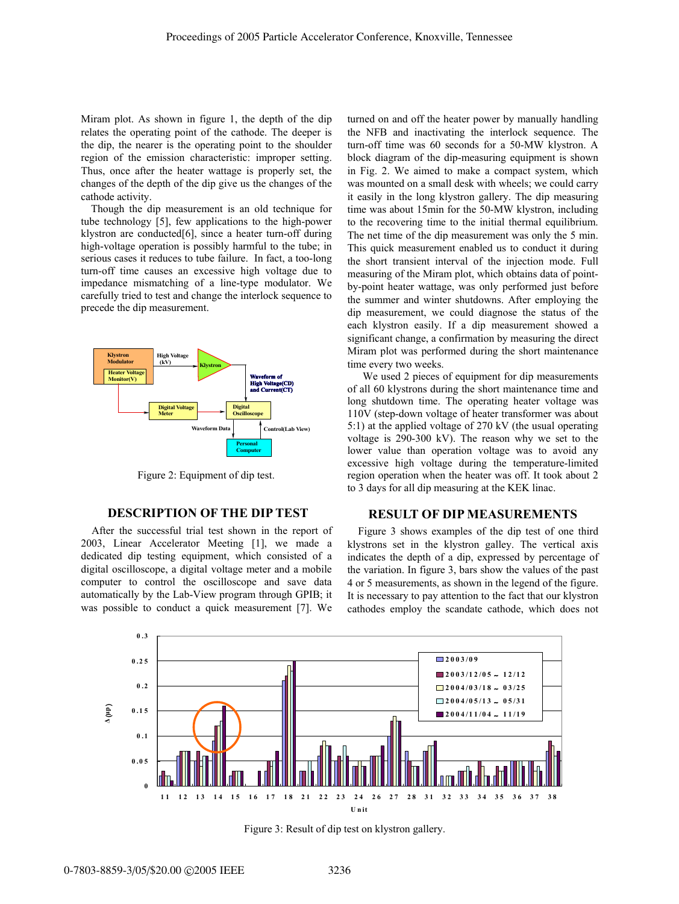Miram plot. As shown in figure 1, the depth of the dip relates the operating point of the cathode. The deeper is the dip, the nearer is the operating point to the shoulder region of the emission characteristic: improper setting. Thus, once after the heater wattage is properly set, the changes of the depth of the dip give us the changes of the cathode activity.

Though the dip measurement is an old technique for tube technology [5], few applications to the high-power klystron are conducted[6], since a heater turn-off during high-voltage operation is possibly harmful to the tube; in serious cases it reduces to tube failure. In fact, a too-long turn-off time causes an excessive high voltage due to impedance mismatching of a line-type modulator. We carefully tried to test and change the interlock sequence to precede the dip measurement.



Figure 2: Equipment of dip test.

#### **DESCRIPTION OF THE DIP TEST**

After the successful trial test shown in the report of 2003, Linear Accelerator Meeting [1], we made a dedicated dip testing equipment, which consisted of a digital oscilloscope, a digital voltage meter and a mobile computer to control the oscilloscope and save data automatically by the Lab-View program through GPIB; it was possible to conduct a quick measurement [7]. We

turned on and off the heater power by manually handling the NFB and inactivating the interlock sequence. The turn-off time was 60 seconds for a 50-MW klystron. A block diagram of the dip-measuring equipment is shown in Fig. 2. We aimed to make a compact system, which was mounted on a small desk with wheels; we could carry it easily in the long klystron gallery. The dip measuring time was about 15min for the 50-MW klystron, including to the recovering time to the initial thermal equilibrium. The net time of the dip measurement was only the 5 min. This quick measurement enabled us to conduct it during the short transient interval of the injection mode. Full measuring of the Miram plot, which obtains data of pointby-point heater wattage, was only performed just before the summer and winter shutdowns. After employing the dip measurement, we could diagnose the status of the each klystron easily. If a dip measurement showed a significant change, a confirmation by measuring the direct Miram plot was performed during the short maintenance time every two weeks.

 We used 2 pieces of equipment for dip measurements of all 60 klystrons during the short maintenance time and long shutdown time. The operating heater voltage was 110V (step-down voltage of heater transformer was about 5:1) at the applied voltage of 270 kV (the usual operating voltage is 290-300 kV). The reason why we set to the lower value than operation voltage was to avoid any excessive high voltage during the temperature-limited region operation when the heater was off. It took about 2 to 3 days for all dip measuring at the KEK linac.

#### **RESULT OF DIP MEASUREMENTS**

Figure 3 shows examples of the dip test of one third klystrons set in the klystron galley. The vertical axis indicates the depth of a dip, expressed by percentage of the variation. In figure 3, bars show the values of the past 4 or 5 measurements, as shown in the legend of the figure. It is necessary to pay attention to the fact that our klystron cathodes employ the scandate cathode, which does not



Figure 3: Result of dip test on klystron gallery.